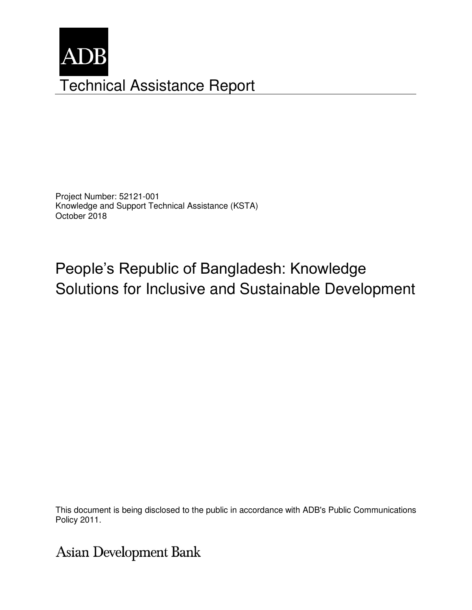

Project Number: 52121-001 Knowledge and Support Technical Assistance (KSTA) October 2018

People's Republic of Bangladesh: Knowledge Solutions for Inclusive and Sustainable Development

This document is being disclosed to the public in accordance with ADB's Public Communications members, Board of Directors, Management, and may be preliminary in nature. In the preliminary in nature. The pre

**Asian Development Bank**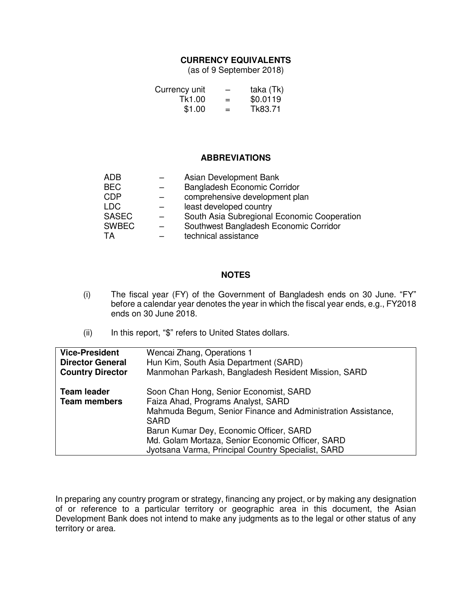### **CURRENCY EQUIVALENTS**

(as of 9 September 2018)

| Currency unit | -   | taka (Tk) |
|---------------|-----|-----------|
| Tk1.00        | $=$ | \$0.0119  |
| \$1.00        | $=$ | Tk83.71   |

#### **ABBREVIATIONS**

| <b>ADB</b>   | Asian Development Bank                      |
|--------------|---------------------------------------------|
| <b>BEC</b>   | Bangladesh Economic Corridor                |
| <b>CDP</b>   | comprehensive development plan              |
| <b>LDC</b>   | least developed country                     |
| <b>SASEC</b> | South Asia Subregional Economic Cooperation |
| <b>SWBEC</b> | Southwest Bangladesh Economic Corridor      |
| TA           | technical assistance                        |

#### **NOTES**

- (i) The fiscal year (FY) of the Government of Bangladesh ends on 30 June. "FY" before a calendar year denotes the year in which the fiscal year ends, e.g., FY2018 ends on 30 June 2018.
- (ii) In this report, "\$" refers to United States dollars.

| <b>Vice-President</b><br><b>Director General</b> | Wencai Zhang, Operations 1<br>Hun Kim, South Asia Department (SARD)                                                                                                                                                                                                                                              |  |
|--------------------------------------------------|------------------------------------------------------------------------------------------------------------------------------------------------------------------------------------------------------------------------------------------------------------------------------------------------------------------|--|
| <b>Country Director</b>                          | Manmohan Parkash, Bangladesh Resident Mission, SARD                                                                                                                                                                                                                                                              |  |
| <b>Team leader</b><br><b>Team members</b>        | Soon Chan Hong, Senior Economist, SARD<br>Faiza Ahad, Programs Analyst, SARD<br>Mahmuda Begum, Senior Finance and Administration Assistance,<br><b>SARD</b><br>Barun Kumar Dey, Economic Officer, SARD<br>Md. Golam Mortaza, Senior Economic Officer, SARD<br>Jyotsana Varma, Principal Country Specialist, SARD |  |

In preparing any country program or strategy, financing any project, or by making any designation of or reference to a particular territory or geographic area in this document, the Asian Development Bank does not intend to make any judgments as to the legal or other status of any territory or area.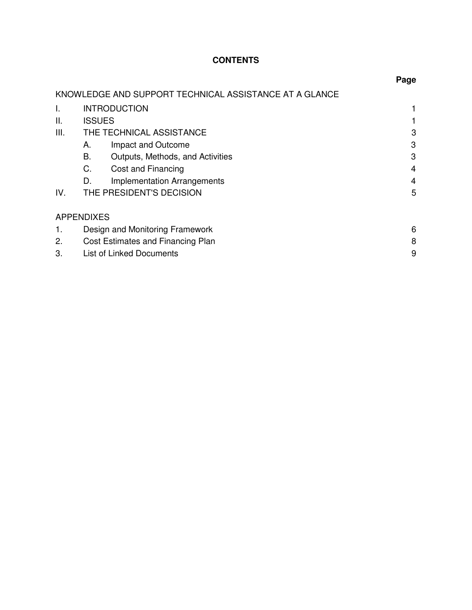# **CONTENTS**

|                   |                                   |                                                        | Page |
|-------------------|-----------------------------------|--------------------------------------------------------|------|
|                   |                                   | KNOWLEDGE AND SUPPORT TECHNICAL ASSISTANCE AT A GLANCE |      |
| L.                |                                   | <b>INTRODUCTION</b>                                    |      |
| Ш.                | <b>ISSUES</b>                     |                                                        |      |
| III.              |                                   | THE TECHNICAL ASSISTANCE                               | 3    |
|                   | А.                                | Impact and Outcome                                     | 3    |
|                   | В.                                | Outputs, Methods, and Activities                       | 3    |
|                   | C.                                | Cost and Financing                                     | 4    |
|                   | D.                                | <b>Implementation Arrangements</b>                     | 4    |
| IV.               |                                   | THE PRESIDENT'S DECISION                               | 5    |
| <b>APPENDIXES</b> |                                   |                                                        |      |
| 1.                | Design and Monitoring Framework   |                                                        | 6    |
| 2.                | Cost Estimates and Financing Plan |                                                        | 8    |
| 3.                | <b>List of Linked Documents</b>   |                                                        |      |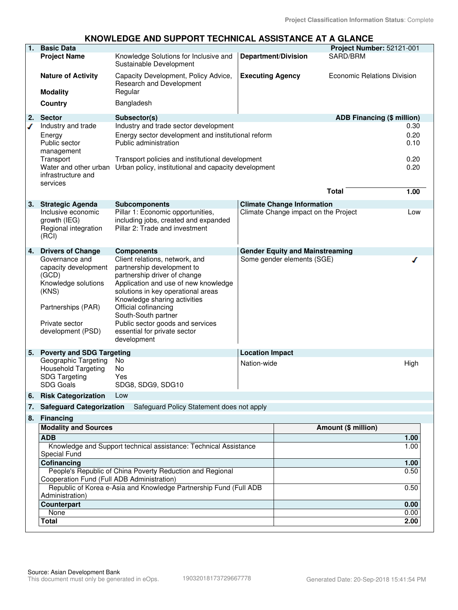## **KNOWLEDGE AND SUPPORT TECHNICAL ASSISTANCE AT A GLANCE**

| 1.                                                               | <b>Basic Data</b>                                                 |                                                                  |                         |                                        | Project Number: 52121-001         |      |
|------------------------------------------------------------------|-------------------------------------------------------------------|------------------------------------------------------------------|-------------------------|----------------------------------------|-----------------------------------|------|
|                                                                  | <b>Project Name</b>                                               | Knowledge Solutions for Inclusive and                            |                         | <b>Department/Division</b>             | SARD/BRM                          |      |
|                                                                  |                                                                   | Sustainable Development                                          |                         |                                        |                                   |      |
|                                                                  | <b>Nature of Activity</b>                                         | Capacity Development, Policy Advice,<br>Research and Development | <b>Executing Agency</b> |                                        | Economic Relations Division       |      |
|                                                                  | <b>Modality</b>                                                   | Regular                                                          |                         |                                        |                                   |      |
|                                                                  | Country                                                           | Bangladesh                                                       |                         |                                        |                                   |      |
| 2.                                                               | <b>Sector</b>                                                     | Subsector(s)                                                     |                         |                                        | <b>ADB Financing (\$ million)</b> |      |
| ✔                                                                | Industry and trade                                                | Industry and trade sector development                            |                         |                                        |                                   | 0.30 |
|                                                                  | Energy                                                            | Energy sector development and institutional reform               |                         |                                        |                                   | 0.20 |
|                                                                  | Public sector                                                     | Public administration                                            |                         |                                        |                                   | 0.10 |
|                                                                  | management                                                        |                                                                  |                         |                                        |                                   |      |
|                                                                  | Transport                                                         | Transport policies and institutional development                 |                         |                                        |                                   | 0.20 |
|                                                                  | Water and other urban                                             | Urban policy, institutional and capacity development             |                         |                                        |                                   | 0.20 |
|                                                                  | infrastructure and                                                |                                                                  |                         |                                        |                                   |      |
|                                                                  | services                                                          |                                                                  |                         |                                        |                                   |      |
|                                                                  |                                                                   |                                                                  |                         |                                        | <b>Total</b>                      | 1.00 |
| 3.                                                               | <b>Strategic Agenda</b>                                           | <b>Subcomponents</b>                                             |                         | <b>Climate Change Information</b>      |                                   |      |
|                                                                  | Inclusive economic                                                | Pillar 1: Economic opportunities,                                |                         | Climate Change impact on the Project   |                                   | Low  |
|                                                                  | growth (IEG)                                                      | including jobs, created and expanded                             |                         |                                        |                                   |      |
|                                                                  | Regional integration                                              | Pillar 2: Trade and investment                                   |                         |                                        |                                   |      |
|                                                                  | (RCI)                                                             |                                                                  |                         |                                        |                                   |      |
| 4.                                                               | <b>Drivers of Change</b>                                          | <b>Components</b>                                                |                         | <b>Gender Equity and Mainstreaming</b> |                                   |      |
|                                                                  | Governance and                                                    | Client relations, network, and                                   |                         | Some gender elements (SGE)             |                                   | ∕    |
|                                                                  | capacity development                                              | partnership development to                                       |                         |                                        |                                   |      |
|                                                                  | (GCD)                                                             | partnership driver of change                                     |                         |                                        |                                   |      |
|                                                                  | Knowledge solutions                                               | Application and use of new knowledge                             |                         |                                        |                                   |      |
|                                                                  | (KNS)                                                             | solutions in key operational areas                               |                         |                                        |                                   |      |
|                                                                  |                                                                   | Knowledge sharing activities                                     |                         |                                        |                                   |      |
|                                                                  | Partnerships (PAR)                                                | Official cofinancing                                             |                         |                                        |                                   |      |
|                                                                  | Private sector                                                    | South-South partner<br>Public sector goods and services          |                         |                                        |                                   |      |
|                                                                  | development (PSD)                                                 | essential for private sector                                     |                         |                                        |                                   |      |
|                                                                  |                                                                   | development                                                      |                         |                                        |                                   |      |
|                                                                  |                                                                   |                                                                  |                         |                                        |                                   |      |
| 5.                                                               | <b>Poverty and SDG Targeting</b><br>Geographic Targeting          | No                                                               | <b>Location Impact</b>  |                                        |                                   |      |
|                                                                  | <b>Household Targeting</b>                                        | No                                                               | Nation-wide             |                                        |                                   | High |
|                                                                  | <b>SDG Targeting</b>                                              | Yes                                                              |                         |                                        |                                   |      |
|                                                                  | SDG Goals                                                         | SDG8, SDG9, SDG10                                                |                         |                                        |                                   |      |
| 6.                                                               | <b>Risk Categorization</b>                                        | Low                                                              |                         |                                        |                                   |      |
| 7.                                                               | <b>Safeguard Categorization</b>                                   | Safeguard Policy Statement does not apply                        |                         |                                        |                                   |      |
| 8.                                                               | <b>Financing</b>                                                  |                                                                  |                         |                                        |                                   |      |
|                                                                  | <b>Modality and Sources</b><br>Amount (\$ million)                |                                                                  |                         |                                        |                                   |      |
| <b>ADB</b>                                                       |                                                                   |                                                                  | 1.00                    |                                        |                                   |      |
| Knowledge and Support technical assistance: Technical Assistance |                                                                   | 1.00                                                             |                         |                                        |                                   |      |
| <b>Special Fund</b>                                              |                                                                   |                                                                  |                         |                                        |                                   |      |
|                                                                  | Cofinancing                                                       |                                                                  |                         |                                        |                                   | 1.00 |
|                                                                  | People's Republic of China Poverty Reduction and Regional         |                                                                  |                         |                                        | 0.50                              |      |
|                                                                  | Cooperation Fund (Full ADB Administration)                        |                                                                  |                         |                                        |                                   |      |
|                                                                  | Republic of Korea e-Asia and Knowledge Partnership Fund (Full ADB |                                                                  | 0.50                    |                                        |                                   |      |
| Administration)<br><b>Counterpart</b>                            |                                                                   | 0.00                                                             |                         |                                        |                                   |      |
| None                                                             |                                                                   |                                                                  | 0.00                    |                                        |                                   |      |
| Total                                                            |                                                                   |                                                                  |                         | 2.00                                   |                                   |      |
|                                                                  |                                                                   |                                                                  |                         |                                        |                                   |      |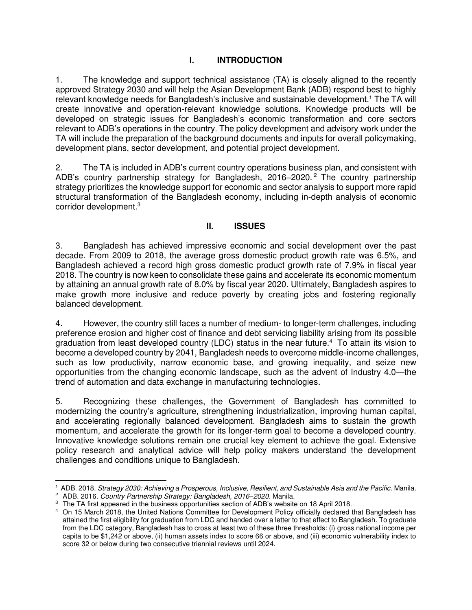## **I. INTRODUCTION**

1. The knowledge and support technical assistance (TA) is closely aligned to the recently approved Strategy 2030 and will help the Asian Development Bank (ADB) respond best to highly relevant knowledge needs for Bangladesh's inclusive and sustainable development.<sup>1</sup> The TA will create innovative and operation-relevant knowledge solutions. Knowledge products will be developed on strategic issues for Bangladesh's economic transformation and core sectors relevant to ADB's operations in the country. The policy development and advisory work under the TA will include the preparation of the background documents and inputs for overall policymaking, development plans, sector development, and potential project development.

2. The TA is included in ADB's current country operations business plan, and consistent with ADB's country partnership strategy for Bangladesh, 2016–2020.<sup>2</sup> The country partnership strategy prioritizes the knowledge support for economic and sector analysis to support more rapid structural transformation of the Bangladesh economy, including in-depth analysis of economic corridor development.<sup>3</sup>

## **II. ISSUES**

3. Bangladesh has achieved impressive economic and social development over the past decade. From 2009 to 2018, the average gross domestic product growth rate was 6.5%, and Bangladesh achieved a record high gross domestic product growth rate of 7.9% in fiscal year 2018. The country is now keen to consolidate these gains and accelerate its economic momentum by attaining an annual growth rate of 8.0% by fiscal year 2020. Ultimately, Bangladesh aspires to make growth more inclusive and reduce poverty by creating jobs and fostering regionally balanced development.

4. However, the country still faces a number of medium- to longer-term challenges, including preference erosion and higher cost of finance and debt servicing liability arising from its possible graduation from least developed country (LDC) status in the near future.<sup>4</sup> To attain its vision to become a developed country by 2041, Bangladesh needs to overcome middle-income challenges, such as low productivity, narrow economic base, and growing inequality, and seize new opportunities from the changing economic landscape, such as the advent of Industry 4.0—the trend of automation and data exchange in manufacturing technologies.

5. Recognizing these challenges, the Government of Bangladesh has committed to modernizing the country's agriculture, strengthening industrialization, improving human capital, and accelerating regionally balanced development. Bangladesh aims to sustain the growth momentum, and accelerate the growth for its longer-term goal to become a developed country. Innovative knowledge solutions remain one crucial key element to achieve the goal. Extensive policy research and analytical advice will help policy makers understand the development challenges and conditions unique to Bangladesh.

 $\overline{a}$ 1 ADB. 2018. *Strategy 2030: Achieving a Prosperous, Inclusive, Resilient, and Sustainable Asia and the Pacific*. Manila.

<sup>2</sup> ADB. 2016. *Country Partnership Strategy: Bangladesh, 2016–2020.* Manila.

 $^3$  The TA first appeared in the business opportunities section of ADB's website on 18 April 2018.

<sup>4</sup> On 15 March 2018, the United Nations Committee for Development Policy officially declared that Bangladesh has attained the first eligibility for graduation from LDC and handed over a letter to that effect to Bangladesh. To graduate from the LDC category, Bangladesh has to cross at least two of these three thresholds: (i) gross national income per capita to be \$1,242 or above, (ii) human assets index to score 66 or above, and (iii) economic vulnerability index to score 32 or below during two consecutive triennial reviews until 2024.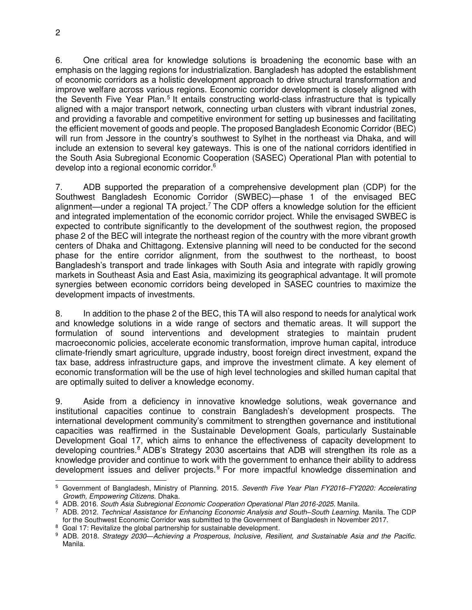6. One critical area for knowledge solutions is broadening the economic base with an emphasis on the lagging regions for industrialization. Bangladesh has adopted the establishment of economic corridors as a holistic development approach to drive structural transformation and improve welfare across various regions. Economic corridor development is closely aligned with the Seventh Five Year Plan.<sup>5</sup> It entails constructing world-class infrastructure that is typically aligned with a major transport network, connecting urban clusters with vibrant industrial zones, and providing a favorable and competitive environment for setting up businesses and facilitating the efficient movement of goods and people. The proposed Bangladesh Economic Corridor (BEC) will run from Jessore in the country's southwest to Sylhet in the northeast via Dhaka, and will include an extension to several key gateways. This is one of the national corridors identified in the South Asia Subregional Economic Cooperation (SASEC) Operational Plan with potential to develop into a regional economic corridor.<sup>6</sup>

7. ADB supported the preparation of a comprehensive development plan (CDP) for the Southwest Bangladesh Economic Corridor (SWBEC)—phase 1 of the envisaged BEC alignment—under a regional TA project.<sup>7</sup> The CDP offers a knowledge solution for the efficient and integrated implementation of the economic corridor project. While the envisaged SWBEC is expected to contribute significantly to the development of the southwest region, the proposed phase 2 of the BEC will integrate the northeast region of the country with the more vibrant growth centers of Dhaka and Chittagong. Extensive planning will need to be conducted for the second phase for the entire corridor alignment, from the southwest to the northeast, to boost Bangladesh's transport and trade linkages with South Asia and integrate with rapidly growing markets in Southeast Asia and East Asia, maximizing its geographical advantage. It will promote synergies between economic corridors being developed in SASEC countries to maximize the development impacts of investments.

8. In addition to the phase 2 of the BEC, this TA will also respond to needs for analytical work and knowledge solutions in a wide range of sectors and thematic areas. It will support the formulation of sound interventions and development strategies to maintain prudent macroeconomic policies, accelerate economic transformation, improve human capital, introduce climate-friendly smart agriculture, upgrade industry, boost foreign direct investment, expand the tax base, address infrastructure gaps, and improve the investment climate. A key element of economic transformation will be the use of high level technologies and skilled human capital that are optimally suited to deliver a knowledge economy.

9. Aside from a deficiency in innovative knowledge solutions, weak governance and institutional capacities continue to constrain Bangladesh's development prospects. The international development community's commitment to strengthen governance and institutional capacities was reaffirmed in the Sustainable Development Goals, particularly Sustainable Development Goal 17, which aims to enhance the effectiveness of capacity development to developing countries.<sup>8</sup> ADB's Strategy 2030 ascertains that ADB will strengthen its role as a knowledge provider and continue to work with the government to enhance their ability to address development issues and deliver projects.<sup>9</sup> For more impactful knowledge dissemination and

 5 Government of Bangladesh, Ministry of Planning. 2015. *Seventh Five Year Plan FY2016–FY2020: Accelerating Growth, Empowering Citizens.* Dhaka.

<sup>6</sup> ADB. 2016. *South Asia Subregional Economic Cooperation Operational Plan 2016-2025.* Manila.

<sup>7</sup> ADB. 2012. *Technical Assistance for Enhancing Economic Analysis and South–South Learning.* Manila. The CDP for the Southwest Economic Corridor was submitted to the Government of Bangladesh in November 2017.

<sup>&</sup>lt;sup>8</sup> Goal 17: Revitalize the global partnership for sustainable development.

<sup>9</sup> ADB. 2018. *Strategy 2030—Achieving a Prosperous, Inclusive, Resilient, and Sustainable Asia and the Pacific.* Manila.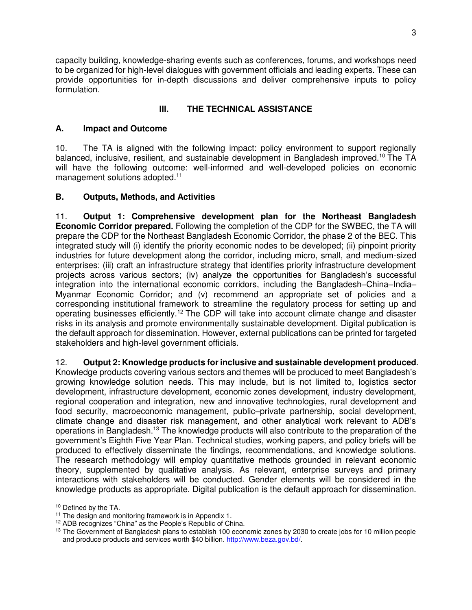capacity building, knowledge-sharing events such as conferences, forums, and workshops need to be organized for high-level dialogues with government officials and leading experts. These can provide opportunities for in-depth discussions and deliver comprehensive inputs to policy formulation.

## **III. THE TECHNICAL ASSISTANCE**

## **A. Impact and Outcome**

10. The TA is aligned with the following impact: policy environment to support regionally balanced, inclusive, resilient, and sustainable development in Bangladesh improved.<sup>10</sup> The TA will have the following outcome: well-informed and well-developed policies on economic management solutions adopted.<sup>11</sup>

## **B. Outputs, Methods, and Activities**

11. **Output 1: Comprehensive development plan for the Northeast Bangladesh Economic Corridor prepared.** Following the completion of the CDP for the SWBEC, the TA will prepare the CDP for the Northeast Bangladesh Economic Corridor, the phase 2 of the BEC. This integrated study will (i) identify the priority economic nodes to be developed; (ii) pinpoint priority industries for future development along the corridor, including micro, small, and medium-sized enterprises; (iii) craft an infrastructure strategy that identifies priority infrastructure development projects across various sectors; (iv) analyze the opportunities for Bangladesh's successful integration into the international economic corridors, including the Bangladesh–China–India– Myanmar Economic Corridor; and (v) recommend an appropriate set of policies and a corresponding institutional framework to streamline the regulatory process for setting up and operating businesses efficiently.<sup>12</sup> The CDP will take into account climate change and disaster risks in its analysis and promote environmentally sustainable development. Digital publication is the default approach for dissemination. However, external publications can be printed for targeted stakeholders and high-level government officials.

12. **Output 2: Knowledge products for inclusive and sustainable development produced**.

Knowledge products covering various sectors and themes will be produced to meet Bangladesh's growing knowledge solution needs. This may include, but is not limited to, logistics sector development, infrastructure development, economic zones development, industry development, regional cooperation and integration, new and innovative technologies, rural development and food security, macroeconomic management, public–private partnership, social development, climate change and disaster risk management, and other analytical work relevant to ADB's operations in Bangladesh.<sup>13</sup> The knowledge products will also contribute to the preparation of the government's Eighth Five Year Plan. Technical studies, working papers, and policy briefs will be produced to effectively disseminate the findings, recommendations, and knowledge solutions. The research methodology will employ quantitative methods grounded in relevant economic theory, supplemented by qualitative analysis. As relevant, enterprise surveys and primary interactions with stakeholders will be conducted. Gender elements will be considered in the knowledge products as appropriate. Digital publication is the default approach for dissemination.

 $\overline{a}$ 

<sup>10</sup> Defined by the TA.

<sup>&</sup>lt;sup>11</sup> The design and monitoring framework is in Appendix 1.

<sup>12</sup> ADB recognizes "China" as the People's Republic of China.

<sup>&</sup>lt;sup>13</sup> The Government of Bangladesh plans to establish 100 economic zones by 2030 to create jobs for 10 million people and produce products and services worth \$40 billion. [http://www.beza.gov.bd/.](http://www.beza.gov.bd/)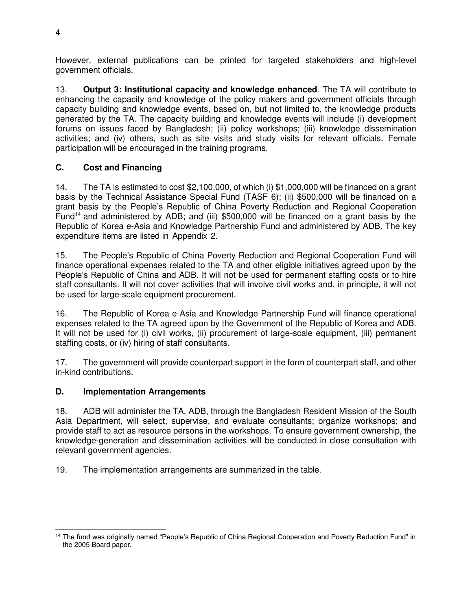However, external publications can be printed for targeted stakeholders and high-level government officials.

13. **Output 3: Institutional capacity and knowledge enhanced**. The TA will contribute to enhancing the capacity and knowledge of the policy makers and government officials through capacity building and knowledge events, based on, but not limited to, the knowledge products generated by the TA. The capacity building and knowledge events will include (i) development forums on issues faced by Bangladesh; (ii) policy workshops; (iii) knowledge dissemination activities; and (iv) others, such as site visits and study visits for relevant officials. Female participation will be encouraged in the training programs.

## **C. Cost and Financing**

14. The TA is estimated to cost \$2,100,000, of which (i) \$1,000,000 will be financed on a grant basis by the Technical Assistance Special Fund (TASF 6); (ii) \$500,000 will be financed on a grant basis by the People's Republic of China Poverty Reduction and Regional Cooperation Fund<sup>14</sup> and administered by ADB; and (iii) \$500,000 will be financed on a grant basis by the Republic of Korea e-Asia and Knowledge Partnership Fund and administered by ADB. The key expenditure items are listed in Appendix 2.

15. The People's Republic of China Poverty Reduction and Regional Cooperation Fund will finance operational expenses related to the TA and other eligible initiatives agreed upon by the People's Republic of China and ADB. It will not be used for permanent staffing costs or to hire staff consultants. It will not cover activities that will involve civil works and, in principle, it will not be used for large-scale equipment procurement.

16. The Republic of Korea e-Asia and Knowledge Partnership Fund will finance operational expenses related to the TA agreed upon by the Government of the Republic of Korea and ADB. It will not be used for (i) civil works, (ii) procurement of large-scale equipment, (iii) permanent staffing costs, or (iv) hiring of staff consultants.

17. The government will provide counterpart support in the form of counterpart staff, and other in-kind contributions.

## **D. Implementation Arrangements**

18. ADB will administer the TA. ADB, through the Bangladesh Resident Mission of the South Asia Department, will select, supervise, and evaluate consultants; organize workshops; and provide staff to act as resource persons in the workshops. To ensure government ownership, the knowledge-generation and dissemination activities will be conducted in close consultation with relevant government agencies.

19. The implementation arrangements are summarized in the table.

 $\overline{a}$ <sup>14</sup> The fund was originally named "People's Republic of China Regional Cooperation and Poverty Reduction Fund" in the 2005 Board paper.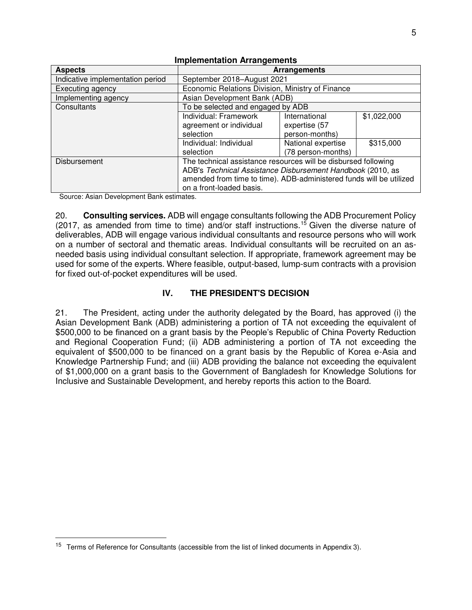| <b>Aspects</b>                   | Arrangements                                                        |                    |             |
|----------------------------------|---------------------------------------------------------------------|--------------------|-------------|
| Indicative implementation period | September 2018-August 2021                                          |                    |             |
| Executing agency                 | Economic Relations Division, Ministry of Finance                    |                    |             |
| Implementing agency              | Asian Development Bank (ADB)                                        |                    |             |
| Consultants                      | To be selected and engaged by ADB                                   |                    |             |
|                                  | Individual: Framework                                               | International      | \$1,022,000 |
|                                  | agreement or individual                                             | expertise (57      |             |
|                                  | selection                                                           | person-months)     |             |
|                                  | Individual: Individual                                              | National expertise | \$315,000   |
|                                  | selection                                                           | (78 person-months) |             |
| Disbursement                     | The technical assistance resources will be disbursed following      |                    |             |
|                                  | ADB's Technical Assistance Disbursement Handbook (2010, as          |                    |             |
|                                  | amended from time to time). ADB-administered funds will be utilized |                    |             |
|                                  | on a front-loaded basis.                                            |                    |             |

### **Implementation Arrangements**

Source: Asian Development Bank estimates.

 $\overline{a}$ 

20. **Consulting services.** ADB will engage consultants following the ADB Procurement Policy (2017, as amended from time to time) and/or staff instructions.<sup>15</sup> Given the diverse nature of deliverables, ADB will engage various individual consultants and resource persons who will work on a number of sectoral and thematic areas. Individual consultants will be recruited on an asneeded basis using individual consultant selection. If appropriate, framework agreement may be used for some of the experts. Where feasible, output-based, lump-sum contracts with a provision for fixed out-of-pocket expenditures will be used.

## **IV. THE PRESIDENT'S DECISION**

21. The President, acting under the authority delegated by the Board, has approved (i) the Asian Development Bank (ADB) administering a portion of TA not exceeding the equivalent of \$500,000 to be financed on a grant basis by the People's Republic of China Poverty Reduction and Regional Cooperation Fund; (ii) ADB administering a portion of TA not exceeding the equivalent of \$500,000 to be financed on a grant basis by the Republic of Korea e-Asia and Knowledge Partnership Fund; and (iii) ADB providing the balance not exceeding the equivalent of \$1,000,000 on a grant basis to the Government of Bangladesh for Knowledge Solutions for Inclusive and Sustainable Development, and hereby reports this action to the Board.

<sup>&</sup>lt;sup>15</sup> Terms of Reference for Consultants (accessible from the list of linked documents in Appendix 3).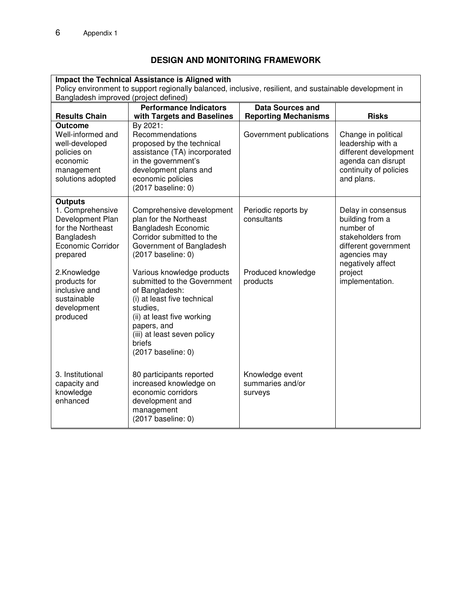## **DESIGN AND MONITORING FRAMEWORK**

| Impact the Technical Assistance is Aligned with                                                                                                  |                                                                                                                                                                                                                                    |                                                |                                                                                                                                 |  |
|--------------------------------------------------------------------------------------------------------------------------------------------------|------------------------------------------------------------------------------------------------------------------------------------------------------------------------------------------------------------------------------------|------------------------------------------------|---------------------------------------------------------------------------------------------------------------------------------|--|
| Policy environment to support regionally balanced, inclusive, resilient, and sustainable development in<br>Bangladesh improved (project defined) |                                                                                                                                                                                                                                    |                                                |                                                                                                                                 |  |
|                                                                                                                                                  | <b>Performance Indicators</b>                                                                                                                                                                                                      | <b>Data Sources and</b>                        |                                                                                                                                 |  |
| <b>Results Chain</b>                                                                                                                             | with Targets and Baselines                                                                                                                                                                                                         | <b>Reporting Mechanisms</b>                    | <b>Risks</b>                                                                                                                    |  |
| <b>Outcome</b><br>Well-informed and<br>well-developed<br>policies on<br>economic<br>management<br>solutions adopted                              | By 2021:<br>Recommendations<br>proposed by the technical<br>assistance (TA) incorporated<br>in the government's<br>development plans and<br>economic policies<br>(2017 baseline: 0)                                                | Government publications                        | Change in political<br>leadership with a<br>different development<br>agenda can disrupt<br>continuity of policies<br>and plans. |  |
| <b>Outputs</b><br>1. Comprehensive<br>Development Plan<br>for the Northeast<br>Bangladesh<br>Economic Corridor<br>prepared                       | Comprehensive development<br>plan for the Northeast<br><b>Bangladesh Economic</b><br>Corridor submitted to the<br>Government of Bangladesh<br>(2017 baseline: 0)                                                                   | Periodic reports by<br>consultants             | Delay in consensus<br>building from a<br>number of<br>stakeholders from<br>different government<br>agencies may                 |  |
| 2.Knowledge<br>products for<br>inclusive and<br>sustainable<br>development<br>produced                                                           | Various knowledge products<br>submitted to the Government<br>of Bangladesh:<br>(i) at least five technical<br>studies.<br>(ii) at least five working<br>papers, and<br>(iii) at least seven policy<br>briefs<br>(2017 baseline: 0) | Produced knowledge<br>products                 | negatively affect<br>project<br>implementation.                                                                                 |  |
| 3. Institutional<br>capacity and<br>knowledge<br>enhanced                                                                                        | 80 participants reported<br>increased knowledge on<br>economic corridors<br>development and<br>management<br>(2017 baseline: 0)                                                                                                    | Knowledge event<br>summaries and/or<br>surveys |                                                                                                                                 |  |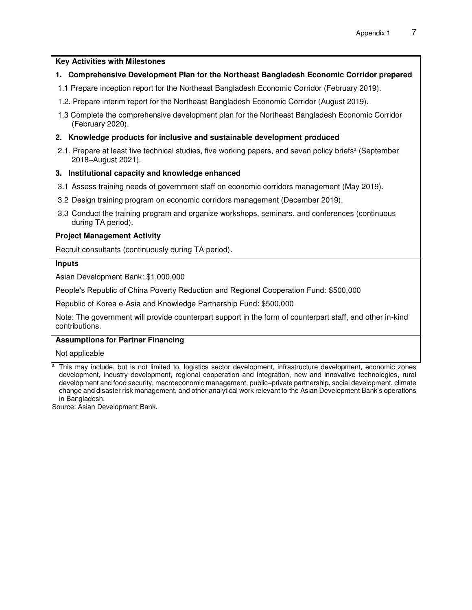#### **Key Activities with Milestones**

### **1. Comprehensive Development Plan for the Northeast Bangladesh Economic Corridor prepared**

- 1.1 Prepare inception report for the Northeast Bangladesh Economic Corridor (February 2019).
- 1.2. Prepare interim report for the Northeast Bangladesh Economic Corridor (August 2019).
- 1.3 Complete the comprehensive development plan for the Northeast Bangladesh Economic Corridor (February 2020).

#### **2. Knowledge products for inclusive and sustainable development produced**

2.1. Prepare at least five technical studies, five working papers, and seven policy briefs<sup>a</sup> (September 2018–August 2021).

#### **3. Institutional capacity and knowledge enhanced**

- 3.1 Assess training needs of government staff on economic corridors management (May 2019).
- 3.2 Design training program on economic corridors management (December 2019).
- 3.3 Conduct the training program and organize workshops, seminars, and conferences (continuous during TA period).

#### **Project Management Activity**

Recruit consultants (continuously during TA period).

#### **Inputs**

Asian Development Bank: \$1,000,000

People's Republic of China Poverty Reduction and Regional Cooperation Fund: \$500,000

Republic of Korea e-Asia and Knowledge Partnership Fund: \$500,000

Note: The government will provide counterpart support in the form of counterpart staff, and other in-kind contributions.

#### **Assumptions for Partner Financing**

Not applicable

Source: Asian Development Bank.

<sup>a</sup>This may include, but is not limited to, logistics sector development, infrastructure development, economic zones development, industry development, regional cooperation and integration, new and innovative technologies, rural development and food security, macroeconomic management, public–private partnership, social development, climate change and disaster risk management, and other analytical work relevant to the Asian Development Bank's operations in Bangladesh.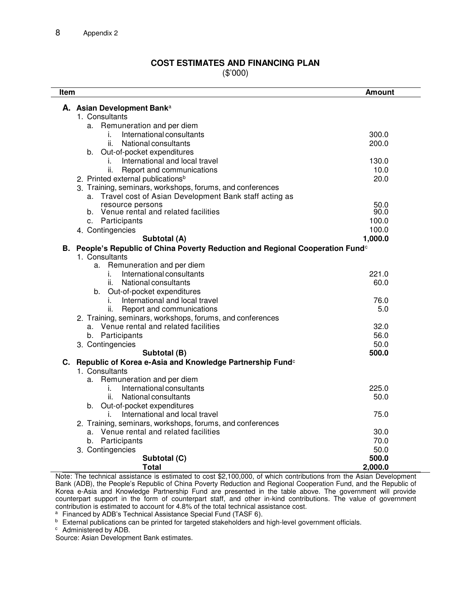# **COST ESTIMATES AND FINANCING PLAN**

(\$'000)

| Item                                                                                       | <b>Amount</b> |  |  |
|--------------------------------------------------------------------------------------------|---------------|--|--|
| A. Asian Development Banka                                                                 |               |  |  |
| 1. Consultants                                                                             |               |  |  |
| a. Remuneration and per diem                                                               |               |  |  |
| International consultants<br>i.                                                            | 300.0         |  |  |
| ii.<br>National consultants                                                                | 200.0         |  |  |
| b. Out-of-pocket expenditures                                                              |               |  |  |
| International and local travel<br>i.                                                       | 130.0         |  |  |
| Report and communications<br>ii.                                                           | 10.0          |  |  |
| 2. Printed external publications <sup>b</sup>                                              | 20.0          |  |  |
| 3. Training, seminars, workshops, forums, and conferences                                  |               |  |  |
| Travel cost of Asian Development Bank staff acting as<br>a.                                |               |  |  |
| resource persons                                                                           | 50.0          |  |  |
| b. Venue rental and related facilities                                                     | 90.0          |  |  |
| c. Participants                                                                            | 100.0         |  |  |
| 4. Contingencies                                                                           | 100.0         |  |  |
| Subtotal (A)                                                                               | 1,000.0       |  |  |
| B. People's Republic of China Poverty Reduction and Regional Cooperation Fund <sup>c</sup> |               |  |  |
| 1. Consultants                                                                             |               |  |  |
| Remuneration and per diem<br>a.                                                            |               |  |  |
| International consultants<br>i.                                                            | 221.0         |  |  |
| National consultants<br>ii.                                                                | 60.0          |  |  |
| b. Out-of-pocket expenditures                                                              |               |  |  |
| International and local travel<br>i.                                                       | 76.0          |  |  |
| Report and communications<br>ii.                                                           | 5.0           |  |  |
| 2. Training, seminars, workshops, forums, and conferences                                  |               |  |  |
| a. Venue rental and related facilities                                                     | 32.0          |  |  |
| b. Participants                                                                            | 56.0          |  |  |
| 3. Contingencies                                                                           | 50.0          |  |  |
| Subtotal (B)                                                                               | 500.0         |  |  |
| C. Republic of Korea e-Asia and Knowledge Partnership Fund <sup>c</sup>                    |               |  |  |
| 1. Consultants<br>a. Remuneration and per diem                                             |               |  |  |
| International consultants<br>i.                                                            | 225.0         |  |  |
| National consultants<br>ii.                                                                | 50.0          |  |  |
| b. Out-of-pocket expenditures                                                              |               |  |  |
| International and local travel<br>i.                                                       | 75.0          |  |  |
| 2. Training, seminars, workshops, forums, and conferences                                  |               |  |  |
| a. Venue rental and related facilities                                                     | 30.0          |  |  |
| b. Participants                                                                            | 70.0          |  |  |
| 3. Contingencies                                                                           | 50.0          |  |  |
| Subtotal (C)                                                                               | 500.0         |  |  |
| <b>Total</b>                                                                               | 2,000.0       |  |  |

Note: The technical assistance is estimated to cost \$2,100,000, of which contributions from the Asian Development Bank (ADB), the People's Republic of China Poverty Reduction and Regional Cooperation Fund, and the Republic of Korea e-Asia and Knowledge Partnership Fund are presented in the table above. The government will provide counterpart support in the form of counterpart staff, and other in-kind contributions. The value of government contribution is estimated to account for 4.8% of the total technical assistance cost.

a Financed by ADB's Technical Assistance Special Fund (TASF 6).

**b** External publications can be printed for targeted stakeholders and high-level government officials.

<sup>c</sup> Administered by ADB.

Source: Asian Development Bank estimates.

 $\overline{\phantom{a}}$